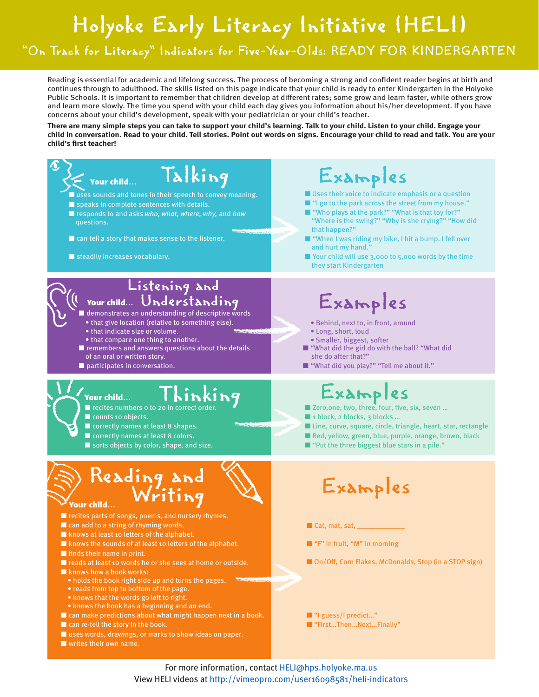## Holyoke Early Literacy Initiative (HELI)

## "On Track for Literacy" Indicators for Five-Year-Olds: READY FOR KINDERGARTEN

Reading is essential for academic and lifelong success. The process of becoming a strong and confident reader begins at birth and continues through to adulthood. The skills listed on this page indicate that your child is ready to enter Kindergarten in the Holyoke Public Schools. It is important to remember that children develop at different rates; some grow and learn faster, while others grow and learn more slowly. The time you spend with your child each day gives you information about his/her development. If you have concerns about your child's development, speak with your pediatrician or your child's teacher.

**There are many simple steps you can take to support your child's learning. Talk to your child. Listen to your child. Engage your child in conversation. Read to your child. Tell stories. Point out words on signs. Encourage your child to read and talk. You are your child's first teacher!**



For more information, contact HELI@hps.holyoke.ma.us View HELI videos at http://vimeopro.com/user16098581/heli-indicators